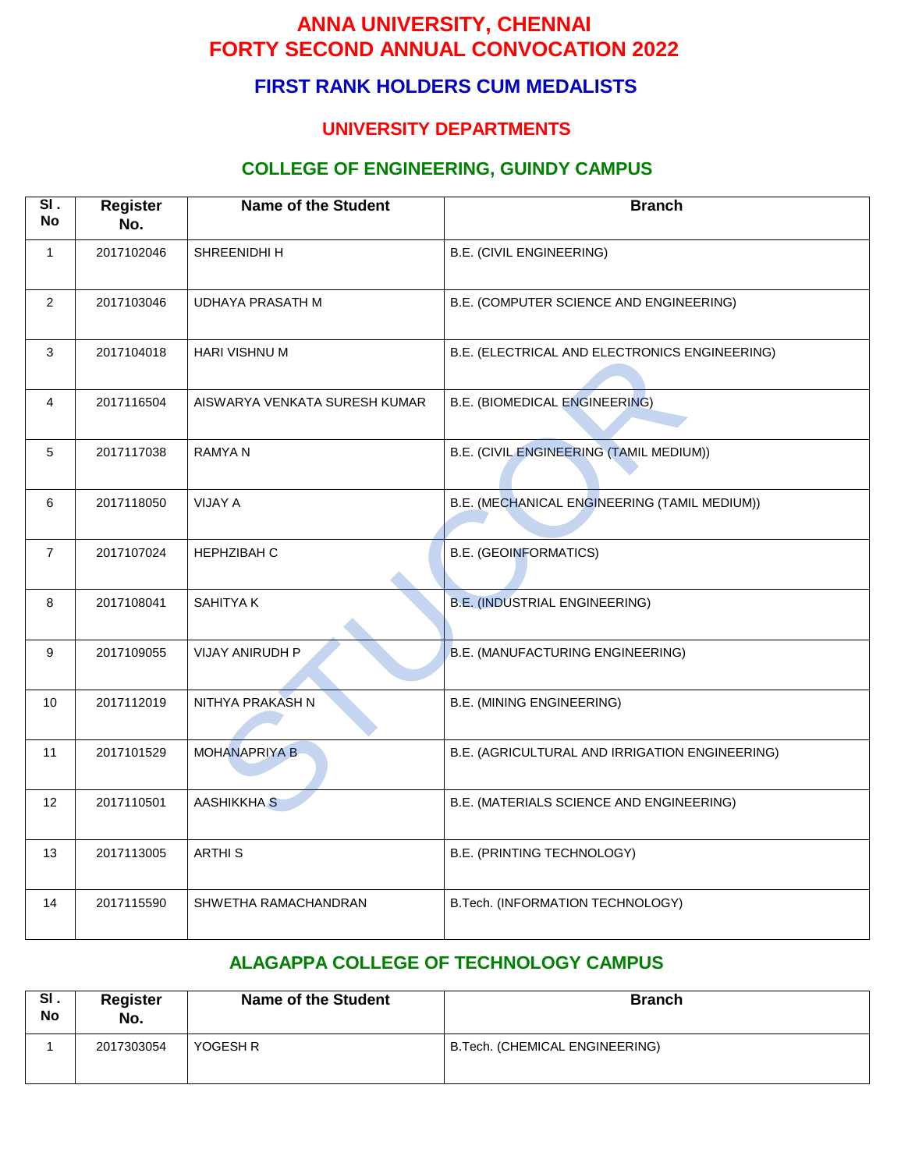# **FIRST RANK HOLDERS CUM MEDALISTS**

#### **UNIVERSITY DEPARTMENTS**

#### **COLLEGE OF ENGINEERING, GUINDY CAMPUS**

| SI.<br><b>No</b> | <b>Register</b><br>No. | <b>Name of the Student</b>    | <b>Branch</b>                                  |  |
|------------------|------------------------|-------------------------------|------------------------------------------------|--|
| $\mathbf{1}$     | 2017102046             | SHREENIDHI H                  | B.E. (CIVIL ENGINEERING)                       |  |
| $\overline{2}$   | 2017103046             | <b>UDHAYA PRASATH M</b>       | B.E. (COMPUTER SCIENCE AND ENGINEERING)        |  |
| 3                | 2017104018             | HARI VISHNU M                 | B.E. (ELECTRICAL AND ELECTRONICS ENGINEERING)  |  |
| $\overline{4}$   | 2017116504             | AISWARYA VENKATA SURESH KUMAR | <b>B.E. (BIOMEDICAL ENGINEERING)</b>           |  |
| 5                | 2017117038             | <b>RAMYAN</b>                 | B.E. (CIVIL ENGINEERING (TAMIL MEDIUM))        |  |
| 6                | 2017118050             | <b>VIJAY A</b>                | B.E. (MECHANICAL ENGINEERING (TAMIL MEDIUM))   |  |
| $\overline{7}$   | 2017107024             | <b>HEPHZIBAH C</b>            | <b>B.E. (GEOINFORMATICS)</b>                   |  |
| 8                | 2017108041             | SAHITYA K                     | <b>B.E. (INDUSTRIAL ENGINEERING)</b>           |  |
| 9                | 2017109055             | VIJAY ANIRUDH P               | B.E. (MANUFACTURING ENGINEERING)               |  |
| 10               | 2017112019             | NITHYA PRAKASH N              | <b>B.E. (MINING ENGINEERING)</b>               |  |
| 11               | 2017101529             | <b>MOHANAPRIYA B</b>          | B.E. (AGRICULTURAL AND IRRIGATION ENGINEERING) |  |
| 12 <sup>°</sup>  | 2017110501             | <b>AASHIKKHA S</b>            | B.E. (MATERIALS SCIENCE AND ENGINEERING)       |  |
| 13               | 2017113005             | <b>ARTHIS</b>                 | B.E. (PRINTING TECHNOLOGY)                     |  |
| 14               | 2017115590             | SHWETHA RAMACHANDRAN          | B.Tech. (INFORMATION TECHNOLOGY)               |  |

#### **ALAGAPPA COLLEGE OF TECHNOLOGY CAMPUS**

| SI.<br>No | <b>Register</b><br>No. | <b>Name of the Student</b> | <b>Branch</b>                  |
|-----------|------------------------|----------------------------|--------------------------------|
|           | 2017303054             | YOGESH R                   | B.Tech. (CHEMICAL ENGINEERING) |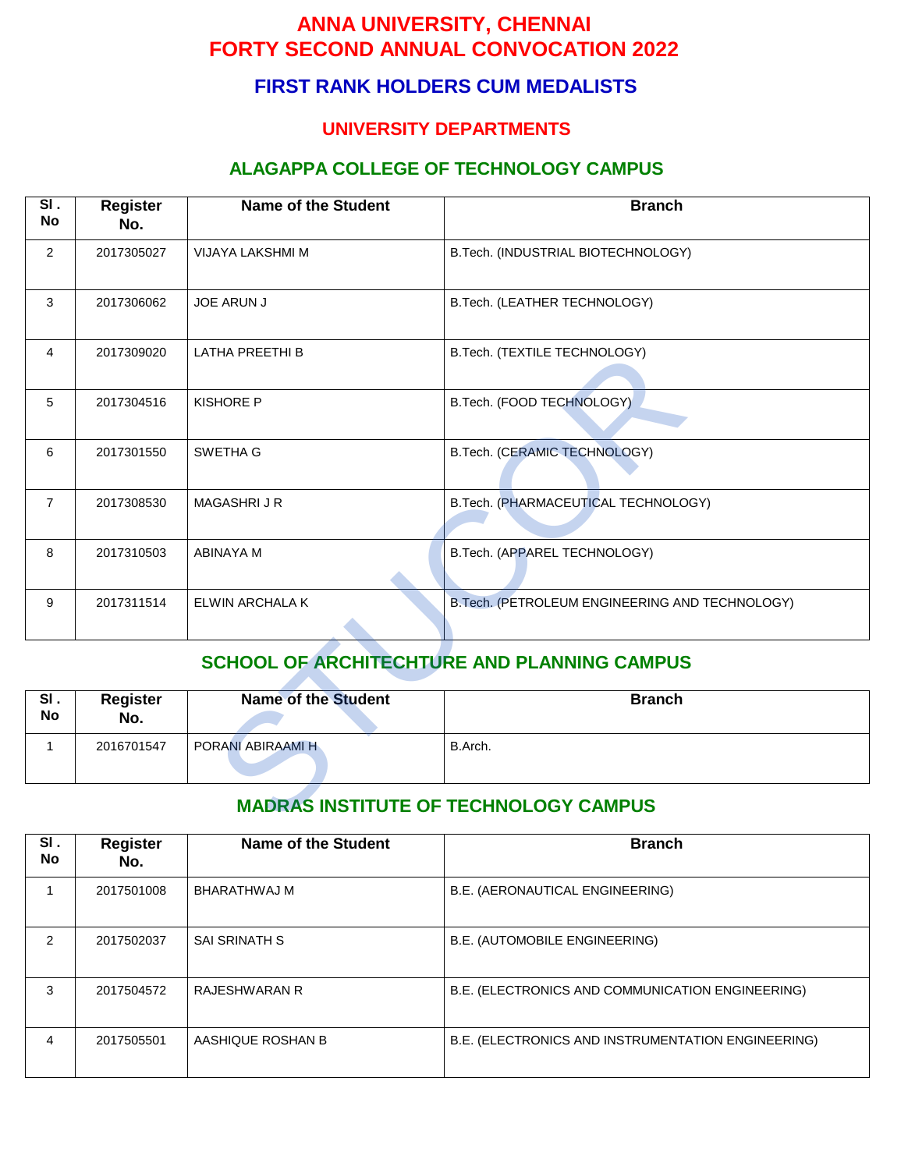## **FIRST RANK HOLDERS CUM MEDALISTS**

#### **UNIVERSITY DEPARTMENTS**

#### **ALAGAPPA COLLEGE OF TECHNOLOGY CAMPUS**

| SI.<br><b>No</b>                                   | <b>Register</b><br>No.                       | <b>Name of the Student</b> | <b>Branch</b>                                  |  |  |
|----------------------------------------------------|----------------------------------------------|----------------------------|------------------------------------------------|--|--|
| $\overline{2}$                                     | 2017305027                                   | VIJAYA LAKSHMI M           | B.Tech. (INDUSTRIAL BIOTECHNOLOGY)             |  |  |
| 3                                                  | 2017306062                                   | <b>JOE ARUN J</b>          | B.Tech. (LEATHER TECHNOLOGY)                   |  |  |
| $\overline{4}$                                     | 2017309020                                   | LATHA PREETHI B            | B.Tech. (TEXTILE TECHNOLOGY)                   |  |  |
| 5                                                  | 2017304516                                   | <b>KISHORE P</b>           | B.Tech. (FOOD TECHNOLOGY)                      |  |  |
| 6                                                  | 2017301550                                   | SWETHA G                   | B.Tech. (CERAMIC TECHNOLOGY)                   |  |  |
| $\overline{7}$                                     | 2017308530                                   | <b>MAGASHRIJR</b>          | B.Tech. (PHARMACEUTICAL TECHNOLOGY)            |  |  |
| 8                                                  | 2017310503                                   | <b>ABINAYA M</b>           | B.Tech. (APPAREL TECHNOLOGY)                   |  |  |
| 9                                                  | 2017311514                                   | ELWIN ARCHALA K            | B.Tech. (PETROLEUM ENGINEERING AND TECHNOLOGY) |  |  |
| <b>SCHOOL OF ARCHITECHTURE AND PLANNING CAMPUS</b> |                                              |                            |                                                |  |  |
| SI.<br><b>No</b>                                   | <b>Register</b><br>No.                       | <b>Name of the Student</b> | <b>Branch</b>                                  |  |  |
| $\mathbf{1}$                                       | 2016701547                                   | PORANI ABIRAAMI H          | B.Arch.                                        |  |  |
|                                                    | <b>MADRAS INSTITUTE OF TECHNOLOGY CAMPUS</b> |                            |                                                |  |  |

# **SCHOOL OF ARCHITECHTURE AND PLANNING CAMPUS**

| SI.<br>No | <b>Register</b><br>No. | <b>Name of the Student</b> | <b>Branch</b> |
|-----------|------------------------|----------------------------|---------------|
|           | 2016701547             | PORANI ABIRAAMI H          | B.Arch.       |

| SI.<br>No     | <b>Register</b><br>No. | Name of the Student  | <b>Branch</b>                                      |  |
|---------------|------------------------|----------------------|----------------------------------------------------|--|
|               | 2017501008             | BHARATHWAJ M         | B.E. (AERONAUTICAL ENGINEERING)                    |  |
| $\mathcal{P}$ | 2017502037             | <b>SAI SRINATH S</b> | B.E. (AUTOMOBILE ENGINEERING)                      |  |
| 3             | 2017504572             | RAJESHWARAN R        | B.E. (ELECTRONICS AND COMMUNICATION ENGINEERING)   |  |
| 4             | 2017505501             | AASHIQUE ROSHAN B    | B.E. (ELECTRONICS AND INSTRUMENTATION ENGINEERING) |  |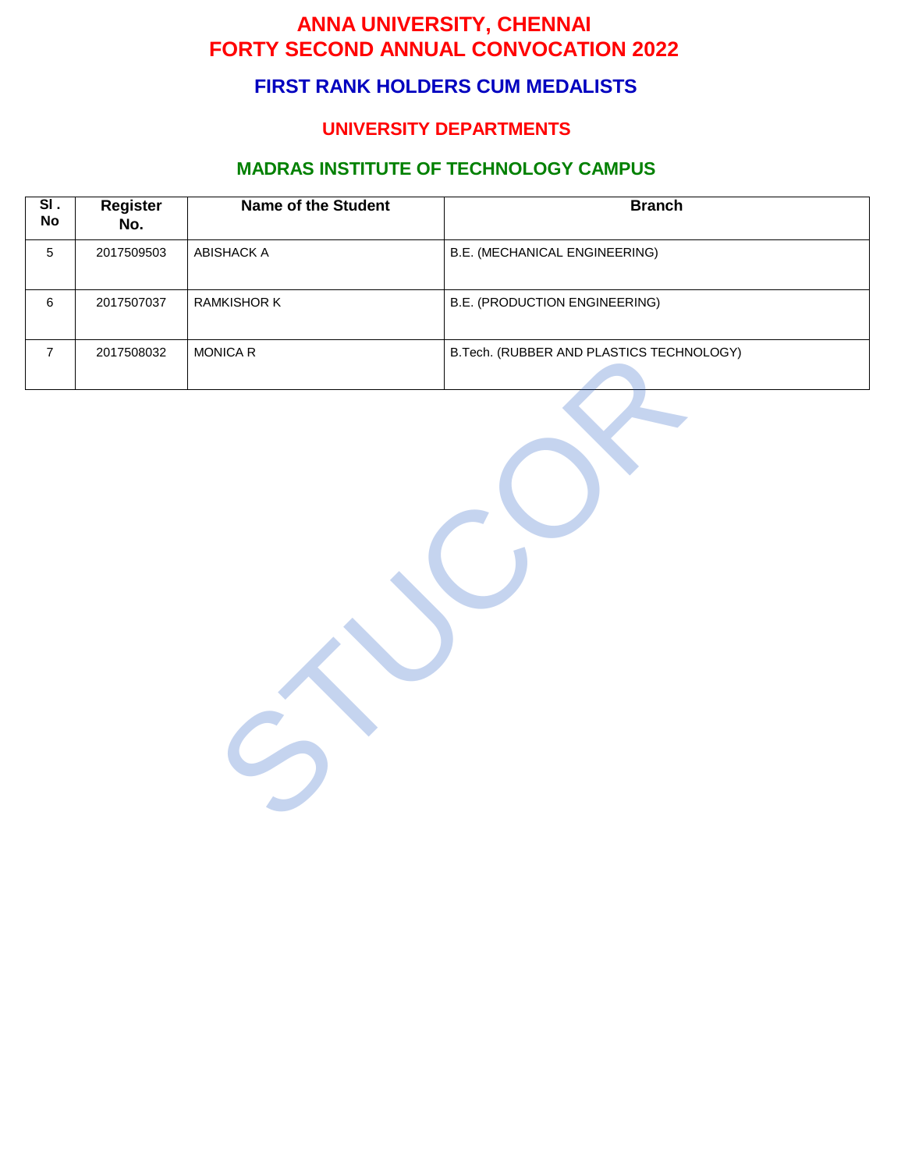# **FIRST RANK HOLDERS CUM MEDALISTS**

## **UNIVERSITY DEPARTMENTS**

# **MADRAS INSTITUTE OF TECHNOLOGY CAMPUS**

| $\overline{\mathsf{SI}}$ .<br><b>No</b> | <b>Register</b><br>No. | <b>Name of the Student</b> | <b>Branch</b>                            |
|-----------------------------------------|------------------------|----------------------------|------------------------------------------|
| $\overline{5}$                          | 2017509503             | <b>ABISHACK A</b>          | <b>B.E. (MECHANICAL ENGINEERING)</b>     |
| $\,6\,$                                 | 2017507037             | RAMKISHOR K                | B.E. (PRODUCTION ENGINEERING)            |
| $\overline{7}$                          | 2017508032             | MONICA R                   | B.Tech. (RUBBER AND PLASTICS TECHNOLOGY) |
|                                         |                        |                            |                                          |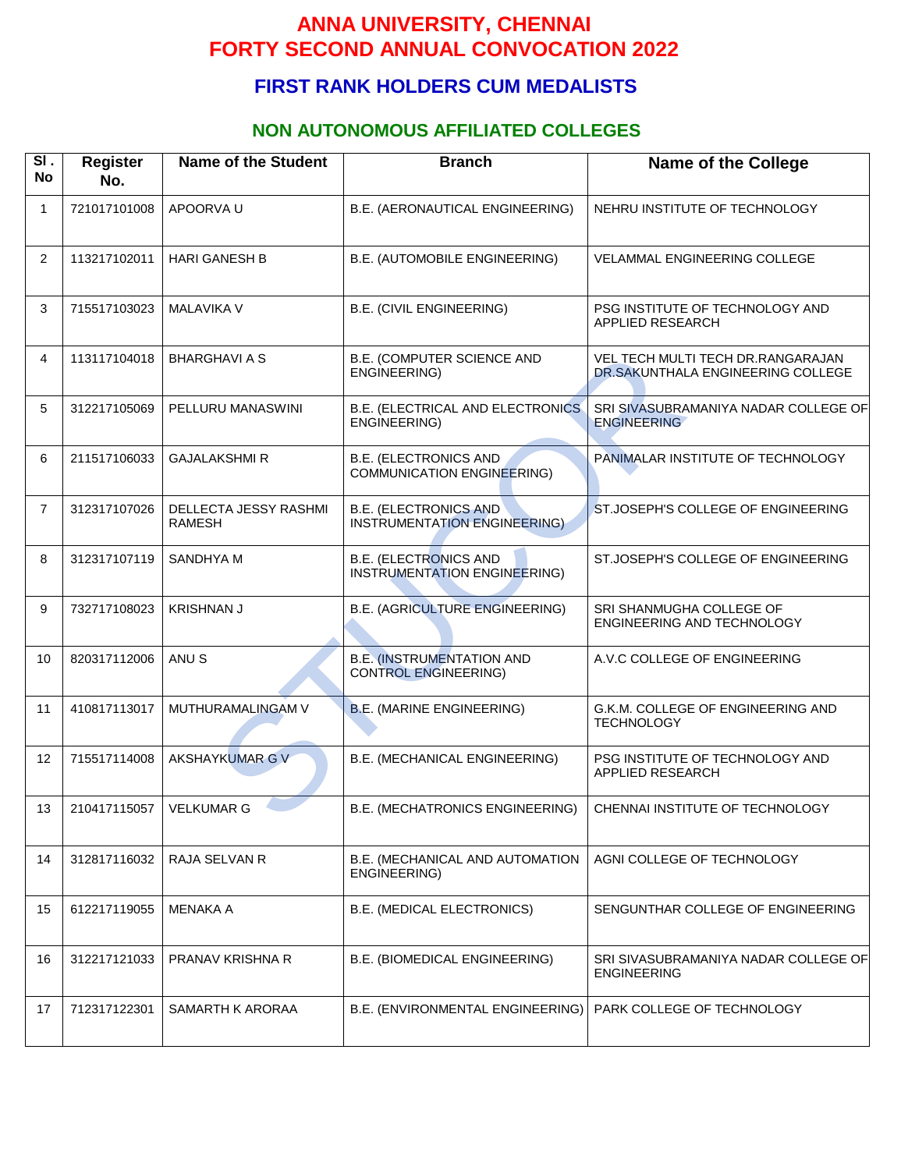# **FIRST RANK HOLDERS CUM MEDALISTS**

### **NON AUTONOMOUS AFFILIATED COLLEGES**

| SI.<br><b>No</b> | <b>Register</b><br>No. | <b>Name of the Student</b>             | <b>Branch</b>                                                      | <b>Name of the College</b>                                             |
|------------------|------------------------|----------------------------------------|--------------------------------------------------------------------|------------------------------------------------------------------------|
| $\mathbf{1}$     | 721017101008           | APOORVA U                              | B.E. (AERONAUTICAL ENGINEERING)                                    | NEHRU INSTITUTE OF TECHNOLOGY                                          |
| $\overline{2}$   | 113217102011           | <b>HARI GANESH B</b>                   | B.E. (AUTOMOBILE ENGINEERING)                                      | VELAMMAL ENGINEERING COLLEGE                                           |
| 3                | 715517103023           | <b>MALAVIKA V</b>                      | <b>B.E. (CIVIL ENGINEERING)</b>                                    | PSG INSTITUTE OF TECHNOLOGY AND<br>APPLIED RESEARCH                    |
| 4                | 113117104018           | <b>BHARGHAVI A S</b>                   | B.E. (COMPUTER SCIENCE AND<br>ENGINEERING)                         | VEL TECH MULTI TECH DR.RANGARAJAN<br>DR.SAKUNTHALA ENGINEERING COLLEGE |
| 5                | 312217105069           | PELLURU MANASWINI                      | B.E. (ELECTRICAL AND ELECTRONICS<br><b>ENGINEERING)</b>            | SRI SIVASUBRAMANIYA NADAR COLLEGE OF<br><b>ENGINEERING</b>             |
| 6                | 211517106033           | <b>GAJALAKSHMI R</b>                   | <b>B.E. (ELECTRONICS AND)</b><br><b>COMMUNICATION ENGINEERING)</b> | PANIMALAR INSTITUTE OF TECHNOLOGY                                      |
| $\overline{7}$   | 312317107026           | DELLECTA JESSY RASHMI<br><b>RAMESH</b> | <b>B.E. (ELECTRONICS AND</b><br>INSTRUMENTATION ENGINEERING)       | ST.JOSEPH'S COLLEGE OF ENGINEERING                                     |
| 8                | 312317107119           | <b>SANDHYA M</b>                       | <b>B.E. (ELECTRONICS AND</b><br>INSTRUMENTATION ENGINEERING)       | ST.JOSEPH'S COLLEGE OF ENGINEERING                                     |
| 9                | 732717108023           | <b>KRISHNAN J</b>                      | <b>B.E. (AGRICULTURE ENGINEERING)</b>                              | SRI SHANMUGHA COLLEGE OF<br>ENGINEERING AND TECHNOLOGY                 |
| 10               | 820317112006           | ANU <sub>S</sub>                       | <b>B.E. (INSTRUMENTATION AND</b><br><b>CONTROL ENGINEERING)</b>    | A.V.C COLLEGE OF ENGINEERING                                           |
| 11               | 410817113017           | MUTHURAMALINGAM V                      | <b>B.E. (MARINE ENGINEERING)</b>                                   | G.K.M. COLLEGE OF ENGINEERING AND<br><b>TECHNOLOGY</b>                 |
| 12               | 715517114008           | AKSHAYKUMAR G V                        | B.E. (MECHANICAL ENGINEERING)                                      | PSG INSTITUTE OF TECHNOLOGY AND<br>APPLIED RESEARCH                    |
| 13               | 210417115057           | <b>VELKUMAR G</b>                      | B.E. (MECHATRONICS ENGINEERING)                                    | CHENNAI INSTITUTE OF TECHNOLOGY                                        |
| 14               | 312817116032           | RAJA SELVAN R                          | B.E. (MECHANICAL AND AUTOMATION<br>ENGINEERING)                    | AGNI COLLEGE OF TECHNOLOGY                                             |
| 15               | 612217119055           | <b>MENAKA A</b>                        | B.E. (MEDICAL ELECTRONICS)                                         | SENGUNTHAR COLLEGE OF ENGINEERING                                      |
| 16               | 312217121033           | PRANAV KRISHNA R                       | B.E. (BIOMEDICAL ENGINEERING)                                      | SRI SIVASUBRAMANIYA NADAR COLLEGE OF<br><b>ENGINEERING</b>             |
| 17               | 712317122301           | SAMARTH K ARORAA                       | B.E. (ENVIRONMENTAL ENGINEERING)                                   | PARK COLLEGE OF TECHNOLOGY                                             |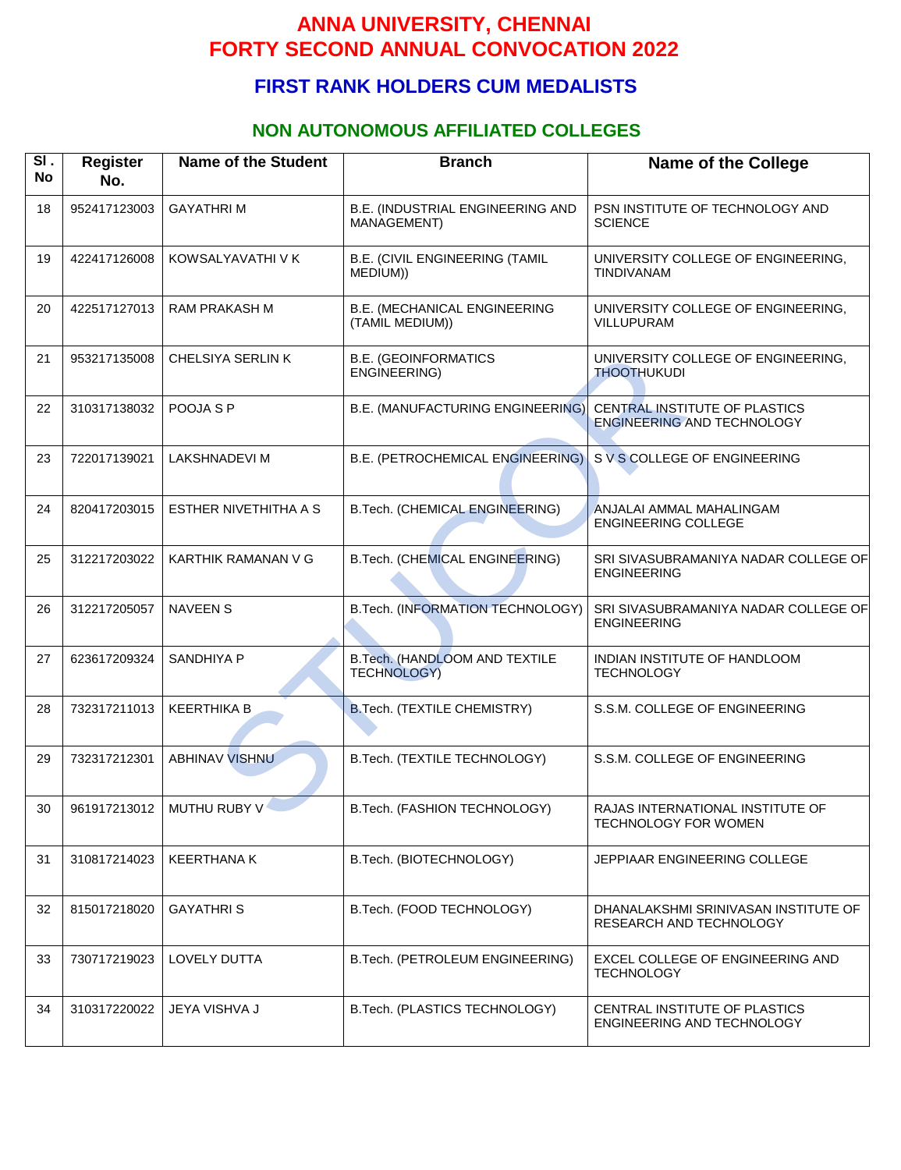## **FIRST RANK HOLDERS CUM MEDALISTS**

#### **NON AUTONOMOUS AFFILIATED COLLEGES**

| SI.<br><b>No</b> | <b>Register</b><br>No. | <b>Name of the Student</b> | <b>Branch</b>                                          | <b>Name of the College</b>                                         |
|------------------|------------------------|----------------------------|--------------------------------------------------------|--------------------------------------------------------------------|
| 18               | 952417123003           | <b>GAYATHRIM</b>           | B.E. (INDUSTRIAL ENGINEERING AND<br>MANAGEMENT)        | PSN INSTITUTE OF TECHNOLOGY AND<br><b>SCIENCE</b>                  |
| 19               | 422417126008           | KOWSALYAVATHI V K          | <b>B.E. (CIVIL ENGINEERING (TAMIL</b><br>MEDIUM))      | UNIVERSITY COLLEGE OF ENGINEERING,<br>TINDIVANAM                   |
| 20               | 422517127013           | <b>RAM PRAKASH M</b>       | <b>B.E. (MECHANICAL ENGINEERING</b><br>(TAMIL MEDIUM)) | UNIVERSITY COLLEGE OF ENGINEERING,<br>VILLUPURAM                   |
| 21               | 953217135008           | CHELSIYA SERLIN K          | <b>B.E. (GEOINFORMATICS</b><br>ENGINEERING)            | UNIVERSITY COLLEGE OF ENGINEERING,<br><b>THOOTHUKUDI</b>           |
| 22               | 310317138032           | POOJA S P                  | B.E. (MANUFACTURING ENGINEERING)                       | CENTRAL INSTITUTE OF PLASTICS<br><b>ENGINEERING AND TECHNOLOGY</b> |
| 23               | 722017139021           | <b>LAKSHNADEVI M</b>       | B.E. (PETROCHEMICAL ENGINEERING)                       | S V S COLLEGE OF ENGINEERING                                       |
| 24               | 820417203015           | ESTHER NIVETHITHA A S      | B.Tech. (CHEMICAL ENGINEERING)                         | ANJALAI AMMAL MAHALINGAM<br><b>ENGINEERING COLLEGE</b>             |
| 25               | 312217203022           | KARTHIK RAMANAN V G        | B.Tech. (CHEMICAL ENGINEERING)                         | SRI SIVASUBRAMANIYA NADAR COLLEGE OF<br><b>ENGINEERING</b>         |
| 26               | 312217205057           | <b>NAVEEN S</b>            | B.Tech. (INFORMATION TECHNOLOGY)                       | SRI SIVASUBRAMANIYA NADAR COLLEGE OF<br><b>ENGINEERING</b>         |
| 27               | 623617209324           | SANDHIYA P                 | B.Tech. (HANDLOOM AND TEXTILE<br><b>TECHNOLOGY)</b>    | INDIAN INSTITUTE OF HANDLOOM<br><b>TECHNOLOGY</b>                  |
| 28               | 732317211013           | <b>KEERTHIKA B</b>         | B.Tech. (TEXTILE CHEMISTRY)                            | S.S.M. COLLEGE OF ENGINEERING                                      |
| 29               | 732317212301           | <b>ABHINAV VISHNU</b>      | B.Tech. (TEXTILE TECHNOLOGY)                           | S.S.M. COLLEGE OF ENGINEERING                                      |
| 30               | 961917213012           | MUTHU RUBY V               | B.Tech. (FASHION TECHNOLOGY)                           | RAJAS INTERNATIONAL INSTITUTE OF<br><b>TECHNOLOGY FOR WOMEN</b>    |
| 31               | 310817214023           | <b>KEERTHANA K</b>         | B.Tech. (BIOTECHNOLOGY)                                | JEPPIAAR ENGINEERING COLLEGE                                       |
| 32               | 815017218020           | <b>GAYATHRIS</b>           | B.Tech. (FOOD TECHNOLOGY)                              | DHANALAKSHMI SRINIVASAN INSTITUTE OF<br>RESEARCH AND TECHNOLOGY    |
| 33               | 730717219023           | <b>LOVELY DUTTA</b>        | B.Tech. (PETROLEUM ENGINEERING)                        | EXCEL COLLEGE OF ENGINEERING AND<br><b>TECHNOLOGY</b>              |
| 34               | 310317220022           | JEYA VISHVA J              | B.Tech. (PLASTICS TECHNOLOGY)                          | CENTRAL INSTITUTE OF PLASTICS<br>ENGINEERING AND TECHNOLOGY        |